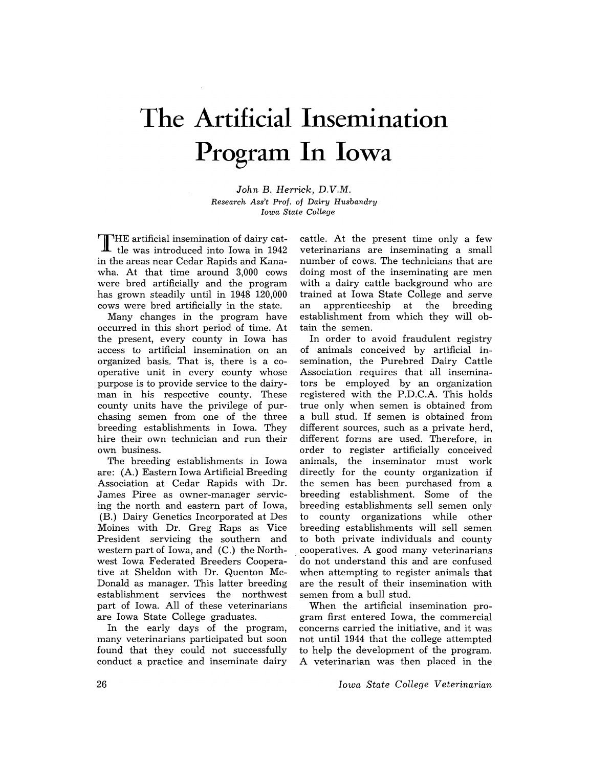## **The Artificial Insemination Program In Iowa**

*John* B. *Herrick, D.V.M. Research Ass't Prof.* of *Dairy Husbandry Iowa State College* 

T HE artificial insemination of dairy cat-tle was introduced into Iowa in 1942 in the areas near Cedar Rapids and Kanawha. At that time around 3,000 cows were bred artificially and the program has grown steadily until in 1948 120,000 cows were bred artificially in the state.

Many changes in the program have occurred in this short period of time. At the present, every county in Iowa has access to artificial insemination on an organized basis.. That is, there is a cooperative unit in every county whose purpose is to provide service to the dairyman in his respective county. These county units have the privilege of purchasing semen from one of the three breeding establishments in Iowa. They hire their own technician and run their own business.

The breeding establishments in Iowa are: (A.) Eastern Iowa Artificial Breeding Association at Cedar Rapids with Dr. James Piree as owner-manager servicing the north and eastern part of Iowa, (B.) Dairy Genetics Incorporated at Des Moines with Dr. Greg Raps as Vice President servicing the southern and western part of Iowa, and (C.) the Northwest Iowa Federated Breeders Cooperative at Sheldon with Dr. Quenton Mc-Donald as manager. This latter breeding establishment services the northwest part of Iowa. All of these veterinarians are Iowa State College graduates.

In the early days of the program, many veterinarians participated but soon found that they could not successfully conduct a practice and inseminate dairy

cattle. At the present time only a few veterinarians are inseminating a small number of cows. The technicians that are doing most of the inseminating are men with a dairy cattle background who are trained at Iowa State College and serve an apprenticeship at the breeding establishment from which they will obtain the semen.

In order to avoid fraudulent registry of animals conceived by artificial insemination, the Purebred Dairy Cattle Association requires that all inseminators be employed by an organization registered with the P.D.C.A. This holds true only when semen is obtained from a bull stud. If semen is obtained from different sources, such as a private herd, different forms are used. Therefore, in order to register artificially conceived animals, the inseminator must work directly for the county organization if the semen has been purchased from a breeding establishment. Some of the breeding establishments sell semen only<br>to county organizations while other county organizations while other breeding establishments will sell semen to both private individuals and county cooperatives. A good many veterinarians . do not understand this and are confused when attempting to register animals that are the result of their insemination with semen from a bull stud.

When the artificial insemination program first entered Iowa, the commercial concerns carried the initiative, and it was not until 1944 that the college attempted to help the development of the program. A veterinarian was then placed in the

*Iowa State College Veterinarian*